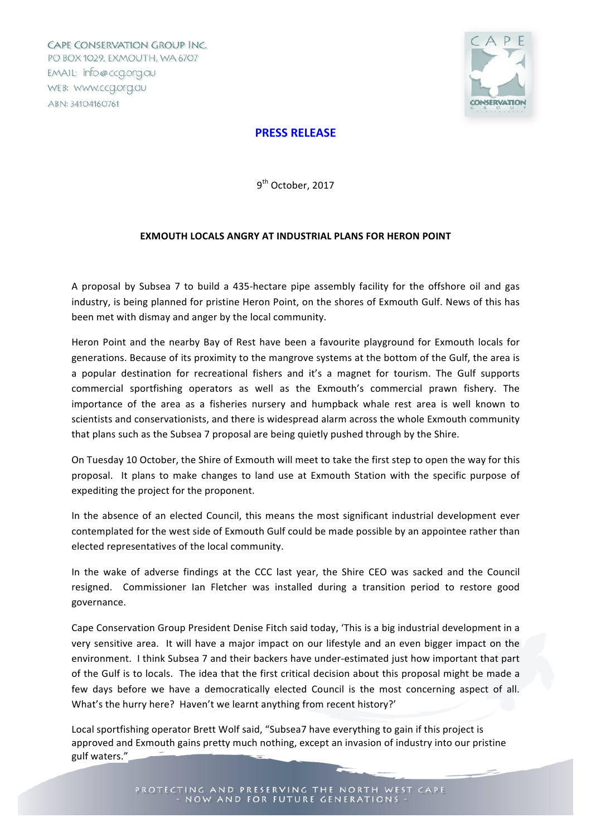CAPE CONSERVATION GROUP INC. PO BOX 1029, EXMOUTH, WA 6707 EMAIL: info@ccq.org.au WEB: WWW.ccg.org.au ABN: 34104160761



## **PRESS RELEASE**

9<sup>th</sup> October, 2017

## **EXMOUTH LOCALS ANGRY AT INDUSTRIAL PLANS FOR HERON POINT**

A proposal by Subsea 7 to build a 435-hectare pipe assembly facility for the offshore oil and gas industry, is being planned for pristine Heron Point, on the shores of Exmouth Gulf. News of this has been met with dismay and anger by the local community.

Heron Point and the nearby Bay of Rest have been a favourite playground for Exmouth locals for generations. Because of its proximity to the mangrove systems at the bottom of the Gulf, the area is a popular destination for recreational fishers and it's a magnet for tourism. The Gulf supports commercial sportfishing operators as well as the Exmouth's commercial prawn fishery. The importance of the area as a fisheries nursery and humpback whale rest area is well known to scientists and conservationists, and there is widespread alarm across the whole Exmouth community that plans such as the Subsea 7 proposal are being quietly pushed through by the Shire.

On Tuesday 10 October, the Shire of Exmouth will meet to take the first step to open the way for this proposal. It plans to make changes to land use at Exmouth Station with the specific purpose of expediting the project for the proponent.

In the absence of an elected Council, this means the most significant industrial development ever contemplated for the west side of Exmouth Gulf could be made possible by an appointee rather than elected representatives of the local community.

In the wake of adverse findings at the CCC last year, the Shire CEO was sacked and the Council resigned. Commissioner Ian Fletcher was installed during a transition period to restore good governance. 

Cape Conservation Group President Denise Fitch said today, 'This is a big industrial development in a very sensitive area. It will have a major impact on our lifestyle and an even bigger impact on the environment. I think Subsea 7 and their backers have under-estimated iust how important that part of the Gulf is to locals. The idea that the first critical decision about this proposal might be made a few days before we have a democratically elected Council is the most concerning aspect of all. What's the hurry here? Haven't we learnt anything from recent history?'

Local sportfishing operator Brett Wolf said, "Subsea7 have everything to gain if this project is approved and Exmouth gains pretty much nothing, except an invasion of industry into our pristine gulf waters."

PROTECTING AND PRESERVING THE NORTH WEST CAPE - NOW AND FOR FUTURE GENERATIONS -